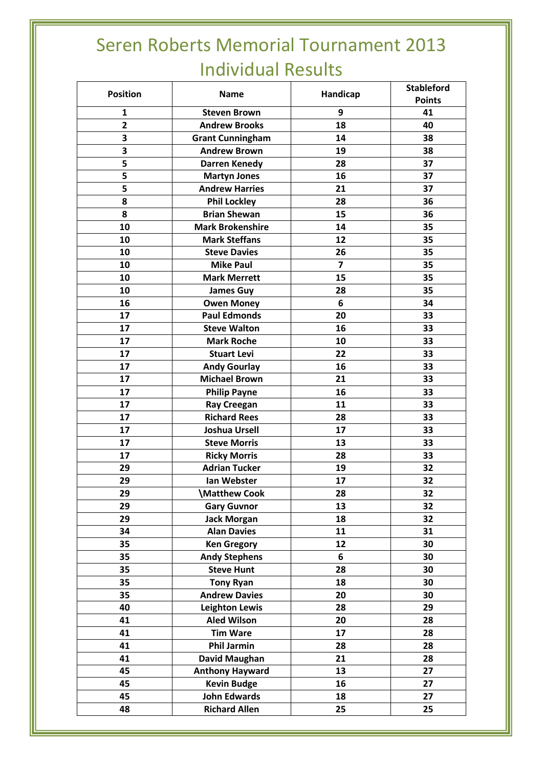## Seren Roberts Memorial Tournament 2013 Individual Results

| <b>Position</b> | <b>Name</b>             | Handicap | <b>Stableford</b> |
|-----------------|-------------------------|----------|-------------------|
|                 |                         |          | <b>Points</b>     |
| $\mathbf{1}$    | <b>Steven Brown</b>     | 9        | 41                |
| $\overline{2}$  | <b>Andrew Brooks</b>    | 18       | 40                |
| 3               | <b>Grant Cunningham</b> | 14       | 38                |
| 3               | <b>Andrew Brown</b>     | 19       | 38                |
| 5               | <b>Darren Kenedy</b>    | 28       | 37                |
| 5               | <b>Martyn Jones</b>     | 16       | 37                |
| 5               | <b>Andrew Harries</b>   | 21       | 37                |
| 8               | <b>Phil Lockley</b>     | 28       | 36                |
| 8               | <b>Brian Shewan</b>     | 15       | 36                |
| 10              | <b>Mark Brokenshire</b> | 14       | 35                |
| 10              | <b>Mark Steffans</b>    | 12       | 35                |
| 10              | <b>Steve Davies</b>     | 26       | 35                |
| 10              | <b>Mike Paul</b>        | 7        | 35                |
| 10              | <b>Mark Merrett</b>     | 15       | 35                |
| 10              | <b>James Guy</b>        | 28       | 35                |
| 16              | <b>Owen Money</b>       | 6        | 34                |
| 17              | <b>Paul Edmonds</b>     | 20       | 33                |
| 17              | <b>Steve Walton</b>     | 16       | 33                |
| 17              | <b>Mark Roche</b>       | 10       | 33                |
| 17              | <b>Stuart Levi</b>      | 22       | 33                |
| 17              | <b>Andy Gourlay</b>     | 16       | 33                |
| 17              | <b>Michael Brown</b>    | 21       | 33                |
| 17              | <b>Philip Payne</b>     | 16       | 33                |
| 17              | <b>Ray Creegan</b>      | 11       | 33                |
| 17              | <b>Richard Rees</b>     | 28       | 33                |
| 17              | <b>Joshua Ursell</b>    | 17       | 33                |
| 17              | <b>Steve Morris</b>     | 13       | 33                |
| 17              | <b>Ricky Morris</b>     | 28       | 33                |
| 29              | <b>Adrian Tucker</b>    | 19       | 32                |
| 29              | Ian Webster             | 17       | 32                |
| 29              | \Matthew Cook           | 28       | 32                |
| 29              | <b>Gary Guvnor</b>      | 13       | 32                |
| 29              | <b>Jack Morgan</b>      | 18       | 32                |
| 34              | <b>Alan Davies</b>      | 11       | 31                |
| 35              | <b>Ken Gregory</b>      | 12       | 30                |
| 35              | <b>Andy Stephens</b>    | 6        | 30                |
| 35              | <b>Steve Hunt</b>       | 28       | 30                |
| 35              | <b>Tony Ryan</b>        | 18       | 30                |
| 35              | <b>Andrew Davies</b>    | 20       | 30                |
| 40              | <b>Leighton Lewis</b>   | 28       | 29                |
| 41              | <b>Aled Wilson</b>      | 20       | 28                |
| 41              | <b>Tim Ware</b>         | 17       | 28                |
| 41              | <b>Phil Jarmin</b>      | 28       | 28                |
| 41              | David Maughan           | 21       | 28                |
| 45              | <b>Anthony Hayward</b>  | 13       | 27                |
| 45              | <b>Kevin Budge</b>      | 16       | 27                |
| 45              | <b>John Edwards</b>     | 18       | 27                |
| 48              | <b>Richard Allen</b>    | 25       | 25                |